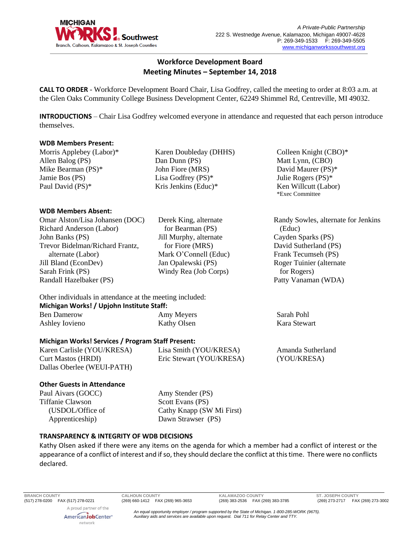

# **Workforce Development Board Meeting Minutes – September 14, 2018**

**CALL TO ORDER** - Workforce Development Board Chair, Lisa Godfrey, called the meeting to order at 8:03 a.m. at the Glen Oaks Community College Business Development Center, 62249 Shimmel Rd, Centreville, MI 49032.

**INTRODUCTIONS** – Chair Lisa Godfrey welcomed everyone in attendance and requested that each person introduce themselves.

#### **WDB Members Present:**

Morris Applebey (Labor)\* Allen Balog (PS) Mike Bearman (PS)\* Jamie Bos (PS) Paul David (PS)\*

### **WDB Members Absent:**

Omar Alston/Lisa Johansen (DOC) Richard Anderson (Labor) John Banks (PS) Trevor Bidelman/Richard Frantz, alternate (Labor) Jill Bland (EconDev) Sarah Frink (PS) Randall Hazelbaker (PS)

Karen Doubleday (DHHS) Dan Dunn (PS) John Fiore (MRS) Lisa Godfrey (PS)\* Kris Jenkins (Educ)\*

Derek King, alternate for Bearman (PS) Jill Murphy, alternate for Fiore (MRS) Mark O'Connell (Educ) Jan Opalewski (PS) Windy Rea (Job Corps)

Colleen Knight (CBO)\* Matt Lynn, (CBO) David Maurer (PS)\* Julie Rogers (PS)\* Ken Willcutt (Labor) \*Exec Committee

Randy Sowles, alternate for Jenkins (Educ) Cayden Sparks (PS) David Sutherland (PS) Frank Tecumseh (PS) Roger Tuinier (alternate for Rogers) Patty Vanaman (WDA)

Other individuals in attendance at the meeting included: **Michigan Works! / Upjohn Institute Staff:**

Ben Damerow Ashley Iovieno Amy Meyers Kathy Olsen Sarah Pohl Kara Stewart

# **Michigan Works! Services / Program Staff Present:**

Karen Carlisle (YOU/KRESA) Curt Mastos (HRDI) Dallas Oberlee (WEUI-PATH) Lisa Smith (YOU/KRESA) Eric Stewart (YOU/KRESA) Amanda Sutherland (YOU/KRESA)

# **Other Guests in Attendance**

Paul Aivars (GOCC) Tiffanie Clawson (USDOL/Office of Apprenticeship)

Amy Stender (PS) Scott Evans (PS) Cathy Knapp (SW Mi First) Dawn Strawser (PS)

# **TRANSPARENCY & INTEGRITY OF WDB DECISIONS**

Kathy Olsen asked if there were any items on the agenda for which a member had a conflict of interest or the appearance of a conflict of interest and if so, they should declare the conflict at this time. There were no conflicts declared.

**BRANCH COUNTY CALHOUN COUNTY KALAMAZOO COUNTY ST. JOSEPH COUNTY**

A proud partner of the AmericanJobCenter\* network

*An equal opportunity employer / program supported by the State of Michigan. 1-800-285-WORK (9675). Auxiliary aids and services are available upon request. Dial 711 for Relay Center and TTY.*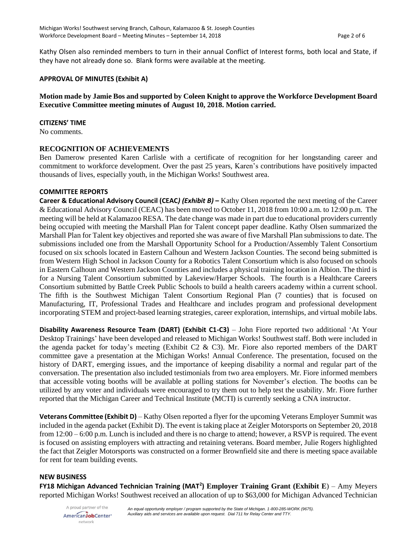Kathy Olsen also reminded members to turn in their annual Conflict of Interest forms, both local and State, if they have not already done so. Blank forms were available at the meeting.

#### **APPROVAL OF MINUTES (Exhibit A)**

# **Motion made by Jamie Bos and supported by Coleen Knight to approve the Workforce Development Board Executive Committee meeting minutes of August 10, 2018. Motion carried.**

#### **CITIZENS' TIME**

No comments.

### **RECOGNITION OF ACHIEVEMENTS**

Ben Damerow presented Karen Carlisle with a certificate of recognition for her longstanding career and commitment to workforce development. Over the past 25 years, Karen's contributions have positively impacted thousands of lives, especially youth, in the Michigan Works! Southwest area.

#### **COMMITTEE REPORTS**

**Career & Educational Advisory Council (CEAC***) (Exhibit B)* **–** Kathy Olsen reported the next meeting of the Career & Educational Advisory Council (CEAC) has been moved to October 11, 2018 from 10:00 a.m. to 12:00 p.m. The meeting will be held at Kalamazoo RESA. The date change was made in part due to educational providers currently being occupied with meeting the Marshall Plan for Talent concept paper deadline. Kathy Olsen summarized the Marshall Plan for Talent key objectives and reported she was aware of five Marshall Plan submissions to date. The submissions included one from the Marshall Opportunity School for a Production/Assembly Talent Consortium focused on six schools located in Eastern Calhoun and Western Jackson Counties. The second being submitted is from Western High School in Jackson County for a Robotics Talent Consortium which is also focused on schools in Eastern Calhoun and Western Jackson Counties and includes a physical training location in Albion. The third is for a Nursing Talent Consortium submitted by Lakeview/Harper Schools. The fourth is a Healthcare Careers Consortium submitted by Battle Creek Public Schools to build a health careers academy within a current school. The fifth is the Southwest Michigan Talent Consortium Regional Plan (7 counties) that is focused on Manufacturing, IT, Professional Trades and Healthcare and includes program and professional development incorporating STEM and project-based learning strategies, career exploration, internships, and virtual mobile labs.

**Disability Awareness Resource Team (DART) (Exhibit C1-C3)** – John Fiore reported two additional 'At Your Desktop Trainings' have been developed and released to Michigan Works! Southwest staff. Both were included in the agenda packet for today's meeting (Exhibit C2 & C3). Mr. Fiore also reported members of the DART committee gave a presentation at the Michigan Works! Annual Conference. The presentation, focused on the history of DART, emerging issues, and the importance of keeping disability a normal and regular part of the conversation. The presentation also included testimonials from two area employers. Mr. Fiore informed members that accessible voting booths will be available at polling stations for November's election. The booths can be utilized by any voter and individuals were encouraged to try them out to help test the usability. Mr. Fiore further reported that the Michigan Career and Technical Institute (MCTI) is currently seeking a CNA instructor.

**Veterans Committee (Exhibit D)** – Kathy Olsen reported a flyer for the upcoming Veterans Employer Summit was included in the agenda packet (Exhibit D). The event is taking place at Zeigler Motorsports on September 20, 2018 from 12:00 – 6:00 p.m. Lunch is included and there is no charge to attend; however, a RSVP is required. The event is focused on assisting employers with attracting and retaining veterans. Board member, Julie Rogers highlighted the fact that Zeigler Motorsports was constructed on a former Brownfield site and there is meeting space available for rent for team building events.

#### **NEW BUSINESS**

**FY18 Michigan Advanced Technician Training (MAT<sup>2</sup> ) Employer Training Grant (Exhibit E**) – Amy Meyers reported Michigan Works! Southwest received an allocation of up to \$63,000 for Michigan Advanced Technician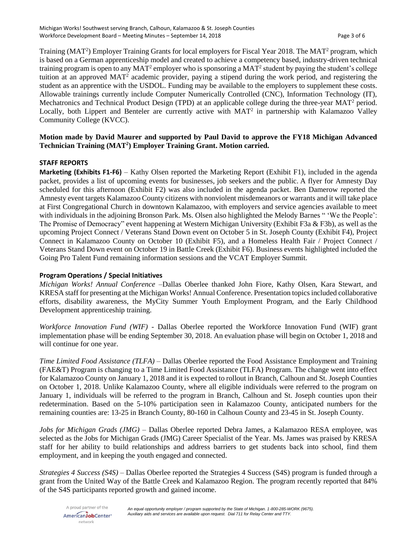Training (MAT<sup>2</sup>) Employer Training Grants for local employers for Fiscal Year 2018. The MAT<sup>2</sup> program, which is based on a German apprenticeship model and created to achieve a competency based, industry-driven technical training program is open to any MAT<sup>2</sup> employer who is sponsoring a MAT<sup>2</sup> student by paying the student's college tuition at an approved MAT<sup>2</sup> academic provider, paying a stipend during the work period, and registering the student as an apprentice with the USDOL. Funding may be available to the employers to supplement these costs. Allowable trainings currently include Computer Numerically Controlled (CNC), Information Technology (IT), Mechatronics and Technical Product Design (TPD) at an applicable college during the three-year MAT<sup>2</sup> period. Locally, both Lippert and Benteler are currently active with  $MAT<sup>2</sup>$  in partnership with Kalamazoo Valley Community College (KVCC).

# **Motion made by David Maurer and supported by Paul David to approve the FY18 Michigan Advanced Technician Training (MAT<sup>2</sup> ) Employer Training Grant. Motion carried.**

# **STAFF REPORTS**

**Marketing (Exhibits F1-F6)** – Kathy Olsen reported the Marketing Report (Exhibit F1), included in the agenda packet, provides a list of upcoming events for businesses, job seekers and the public. A flyer for Amnesty Day scheduled for this afternoon (Exhibit F2) was also included in the agenda packet. Ben Damerow reported the Amnesty event targets Kalamazoo County citizens with nonviolent misdemeanors or warrants and it will take place at First Congregational Church in downtown Kalamazoo, with employers and service agencies available to meet with individuals in the adjoining Bronson Park. Ms. Olsen also highlighted the Melody Barnes " 'We the People': The Promise of Democracy" event happening at Western Michigan University (Exhibit F3a & F3b), as well as the upcoming Project Connect / Veterans Stand Down event on October 5 in St. Joseph County (Exhibit F4), Project Connect in Kalamazoo County on October 10 (Exhibit F5), and a Homeless Health Fair / Project Connect / Veterans Stand Down event on October 19 in Battle Creek (Exhibit F6). Business events highlighted included the Going Pro Talent Fund remaining information sessions and the VCAT Employer Summit.

# **Program Operations / Special Initiatives**

*Michigan Works! Annual Conference* –Dallas Oberlee thanked John Fiore, Kathy Olsen, Kara Stewart, and KRESA staff for presenting at the Michigan Works! Annual Conference. Presentation topics included collaborative efforts, disability awareness, the MyCity Summer Youth Employment Program, and the Early Childhood Development apprenticeship training.

*Workforce Innovation Fund (WIF) -* Dallas Oberlee reported the Workforce Innovation Fund (WIF) grant implementation phase will be ending September 30, 2018. An evaluation phase will begin on October 1, 2018 and will continue for one year.

*Time Limited Food Assistance (TLFA)* – Dallas Oberlee reported the Food Assistance Employment and Training (FAE&T) Program is changing to a Time Limited Food Assistance (TLFA) Program. The change went into effect for Kalamazoo County on January 1, 2018 and it is expected to rollout in Branch, Calhoun and St. Joseph Counties on October 1, 2018. Unlike Kalamazoo County, where all eligible individuals were referred to the program on January 1, individuals will be referred to the program in Branch, Calhoun and St. Joseph counties upon their redetermination. Based on the 5-10% participation seen in Kalamazoo County, anticipated numbers for the remaining counties are: 13-25 in Branch County, 80-160 in Calhoun County and 23-45 in St. Joseph County.

*Jobs for Michigan Grads (JMG)* – Dallas Oberlee reported Debra James, a Kalamazoo RESA employee, was selected as the Jobs for Michigan Grads (JMG) Career Specialist of the Year. Ms. James was praised by KRESA staff for her ability to build relationships and address barriers to get students back into school, find them employment, and in keeping the youth engaged and connected.

*Strategies 4 Success (S4S)* – Dallas Oberlee reported the Strategies 4 Success (S4S) program is funded through a grant from the United Way of the Battle Creek and Kalamazoo Region. The program recently reported that 84% of the S4S participants reported growth and gained income.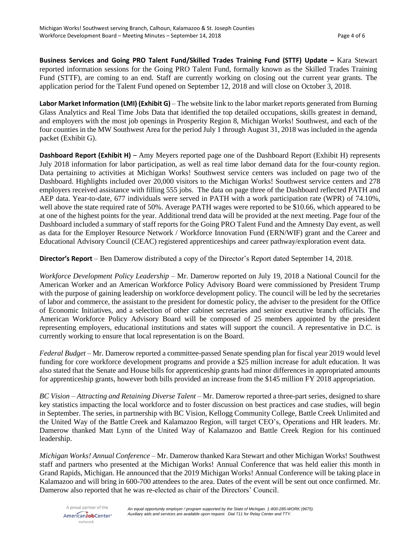**Business Services and Going PRO Talent Fund/Skilled Trades Training Fund (STTF) Update –** Kara Stewart reported information sessions for the Going PRO Talent Fund, formally known as the Skilled Trades Training Fund (STTF), are coming to an end. Staff are currently working on closing out the current year grants. The application period for the Talent Fund opened on September 12, 2018 and will close on October 3, 2018.

**Labor Market Information (LMI) (Exhibit G)** – The website link to the labor market reports generated from Burning Glass Analytics and Real Time Jobs Data that identified the top detailed occupations, skills greatest in demand, and employers with the most job openings in Prosperity Region 8, Michigan Works! Southwest, and each of the four counties in the MW Southwest Area for the period July 1 through August 31, 2018 was included in the agenda packet (Exhibit G).

**Dashboard Report (Exhibit H)** – Amy Meyers reported page one of the Dashboard Report (Exhibit H) represents July 2018 information for labor participation, as well as real time labor demand data for the four-county region. Data pertaining to activities at Michigan Works! Southwest service centers was included on page two of the Dashboard. Highlights included over 20,000 visitors to the Michigan Works! Southwest service centers and 278 employers received assistance with filling 555 jobs. The data on page three of the Dashboard reflected PATH and AEP data. Year-to-date, 677 individuals were served in PATH with a work participation rate (WPR) of 74.10%, well above the state required rate of 50%. Average PATH wages were reported to be \$10.66, which appeared to be at one of the highest points for the year. Additional trend data will be provided at the next meeting. Page four of the Dashboard included a summary of staff reports for the Going PRO Talent Fund and the Amnesty Day event, as well as data for the Employer Resource Network / Workforce Innovation Fund (ERN/WIF) grant and the Career and Educational Advisory Council (CEAC) registered apprenticeships and career pathway/exploration event data.

**Director's Report** – Ben Damerow distributed a copy of the Director's Report dated September 14, 2018.

*Workforce Development Policy Leadership* – Mr. Damerow reported on July 19, 2018 a National Council for the American Worker and an American Workforce Policy Advisory Board were commissioned by President Trump with the purpose of gaining leadership on workforce development policy. The council will be led by the secretaries of labor and commerce, the assistant to the president for domestic policy, the adviser to the president for the Office of Economic Initiatives, and a selection of other cabinet secretaries and senior executive branch officials. The American Workforce Policy Advisory Board will be composed of 25 members appointed by the president representing employers, educational institutions and states will support the council. A representative in D.C. is currently working to ensure that local representation is on the Board.

*Federal Budget* – Mr. Damerow reported a committee-passed Senate spending plan for fiscal year 2019 would level funding for core workforce development programs and provide a \$25 million increase for adult education. It was also stated that the Senate and House bills for apprenticeship grants had minor differences in appropriated amounts for apprenticeship grants, however both bills provided an increase from the \$145 million FY 2018 appropriation.

*BC Vision – Attracting and Retaining Diverse Talent* – Mr. Damerow reported a three-part series, designed to share key statistics impacting the local workforce and to foster discussion on best practices and case studies, will begin in September. The series, in partnership with BC Vision, Kellogg Community College, Battle Creek Unlimited and the United Way of the Battle Creek and Kalamazoo Region, will target CEO's, Operations and HR leaders. Mr. Damerow thanked Matt Lynn of the United Way of Kalamazoo and Battle Creek Region for his continued leadership.

*Michigan Works! Annual Conference* – Mr. Damerow thanked Kara Stewart and other Michigan Works! Southwest staff and partners who presented at the Michigan Works! Annual Conference that was held ealier this month in Grand Rapids, Michigan. He announced that the 2019 Michigan Works! Annual Conference will be taking place in Kalamazoo and will bring in 600-700 attendees to the area. Dates of the event will be sent out once confirmed. Mr. Damerow also reported that he was re-elected as chair of the Directors' Council.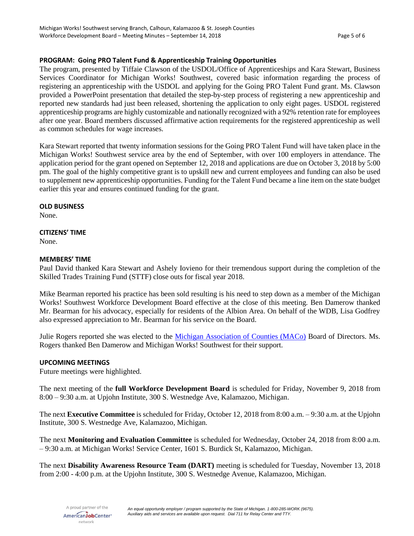# **PROGRAM: Going PRO Talent Fund & Apprenticeship Training Opportunities**

The program, presented by Tiffaie Clawson of the USDOL/Office of Apprenticeships and Kara Stewart, Business Services Coordinator for Michigan Works! Southwest, covered basic information regarding the process of registering an apprenticeship with the USDOL and applying for the Going PRO Talent Fund grant. Ms. Clawson provided a PowerPoint presentation that detailed the step-by-step process of registering a new apprenticeship and reported new standards had just been released, shortening the application to only eight pages. USDOL registered apprenticeship programs are highly customizable and nationally recognized with a 92% retention rate for employees after one year. Board members discussed affirmative action requirements for the registered apprenticeship as well as common schedules for wage increases.

Kara Stewart reported that twenty information sessions for the Going PRO Talent Fund will have taken place in the Michigan Works! Southwest service area by the end of September, with over 100 employers in attendance. The application period for the grant opened on September 12, 2018 and applications are due on October 3, 2018 by 5:00 pm. The goal of the highly competitive grant is to upskill new and current employees and funding can also be used to supplement new apprenticeship opportunities. Funding for the Talent Fund became a line item on the state budget earlier this year and ensures continued funding for the grant.

### **OLD BUSINESS**

None.

### **CITIZENS' TIME**

None.

### **MEMBERS' TIME**

Paul David thanked Kara Stewart and Ashely Iovieno for their tremendous support during the completion of the Skilled Trades Training Fund (STTF) close outs for fiscal year 2018.

Mike Bearman reported his practice has been sold resulting is his need to step down as a member of the Michigan Works! Southwest Workforce Development Board effective at the close of this meeting. Ben Damerow thanked Mr. Bearman for his advocacy, especially for residents of the Albion Area. On behalf of the WDB, Lisa Godfrey also expressed appreciation to Mr. Bearman for his service on the Board.

Julie Rogers reported she was elected to the [Michigan Association of Counties \(MACo\)](https://www.micounties.org/) Board of Directors. Ms. Rogers thanked Ben Damerow and Michigan Works! Southwest for their support.

# **UPCOMING MEETINGS**

Future meetings were highlighted.

The next meeting of the **full Workforce Development Board** is scheduled for Friday, November 9, 2018 from 8:00 – 9:30 a.m. at Upjohn Institute, 300 S. Westnedge Ave, Kalamazoo, Michigan.

The next **Executive Committee** is scheduled for Friday, October 12, 2018 from 8:00 a.m. – 9:30 a.m. at the Upjohn Institute, 300 S. Westnedge Ave, Kalamazoo, Michigan.

The next **Monitoring and Evaluation Committee** is scheduled for Wednesday, October 24, 2018 from 8:00 a.m. – 9:30 a.m. at Michigan Works! Service Center, 1601 S. Burdick St, Kalamazoo, Michigan.

The next **Disability Awareness Resource Team (DART)** meeting is scheduled for Tuesday, November 13, 2018 from 2:00 - 4:00 p.m. at the Upjohn Institute, 300 S. Westnedge Avenue, Kalamazoo, Michigan.